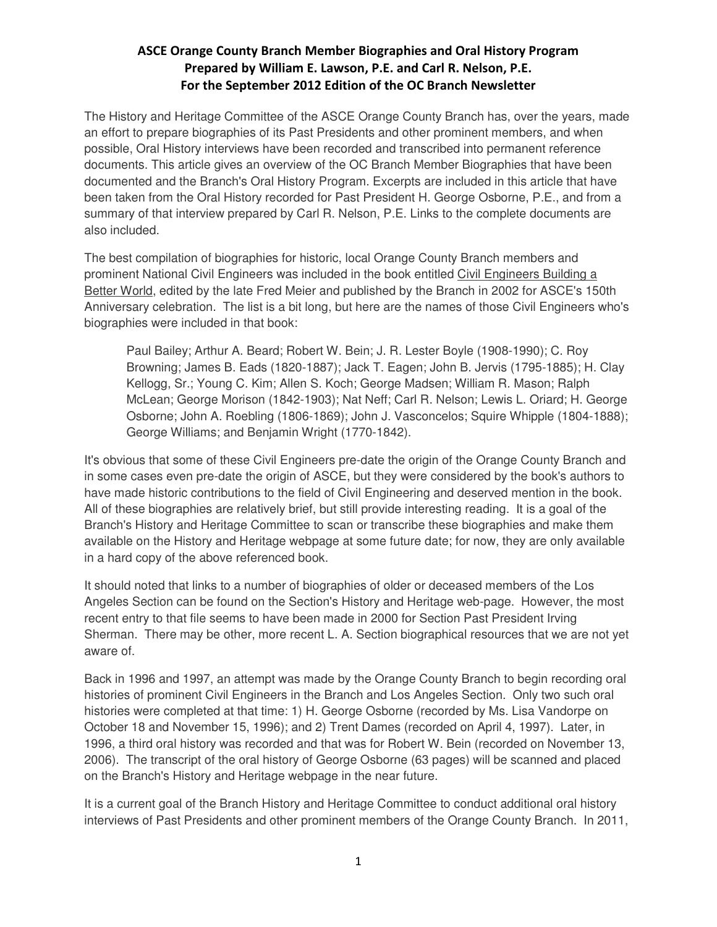The History and Heritage Committee of the ASCE Orange County Branch has, over the years, made an effort to prepare biographies of its Past Presidents and other prominent members, and when possible, Oral History interviews have been recorded and transcribed into permanent reference documents. This article gives an overview of the OC Branch Member Biographies that have been documented and the Branch's Oral History Program. Excerpts are included in this article that have been taken from the Oral History recorded for Past President H. George Osborne, P.E., and from a summary of that interview prepared by Carl R. Nelson, P.E. Links to the complete documents are also included.

The best compilation of biographies for historic, local Orange County Branch members and prominent National Civil Engineers was included in the book entitled Civil Engineers Building a Better World, edited by the late Fred Meier and published by the Branch in 2002 for ASCE's 150th Anniversary celebration. The list is a bit long, but here are the names of those Civil Engineers who's biographies were included in that book:

Paul Bailey; Arthur A. Beard; Robert W. Bein; J. R. Lester Boyle (1908-1990); C. Roy Browning; James B. Eads (1820-1887); Jack T. Eagen; John B. Jervis (1795-1885); H. Clay Kellogg, Sr.; Young C. Kim; Allen S. Koch; George Madsen; William R. Mason; Ralph McLean; George Morison (1842-1903); Nat Neff; Carl R. Nelson; Lewis L. Oriard; H. George Osborne; John A. Roebling (1806-1869); John J. Vasconcelos; Squire Whipple (1804-1888); George Williams; and Benjamin Wright (1770-1842).

It's obvious that some of these Civil Engineers pre-date the origin of the Orange County Branch and in some cases even pre-date the origin of ASCE, but they were considered by the book's authors to have made historic contributions to the field of Civil Engineering and deserved mention in the book. All of these biographies are relatively brief, but still provide interesting reading. It is a goal of the Branch's History and Heritage Committee to scan or transcribe these biographies and make them available on the History and Heritage webpage at some future date; for now, they are only available in a hard copy of the above referenced book.

It should noted that links to a number of biographies of older or deceased members of the Los Angeles Section can be found on the Section's History and Heritage web-page. However, the most recent entry to that file seems to have been made in 2000 for Section Past President Irving Sherman. There may be other, more recent L. A. Section biographical resources that we are not yet aware of.

Back in 1996 and 1997, an attempt was made by the Orange County Branch to begin recording oral histories of prominent Civil Engineers in the Branch and Los Angeles Section. Only two such oral histories were completed at that time: 1) H. George Osborne (recorded by Ms. Lisa Vandorpe on October 18 and November 15, 1996); and 2) Trent Dames (recorded on April 4, 1997). Later, in 1996, a third oral history was recorded and that was for Robert W. Bein (recorded on November 13, 2006). The transcript of the oral history of George Osborne (63 pages) will be scanned and placed on the Branch's History and Heritage webpage in the near future.

It is a current goal of the Branch History and Heritage Committee to conduct additional oral history interviews of Past Presidents and other prominent members of the Orange County Branch. In 2011,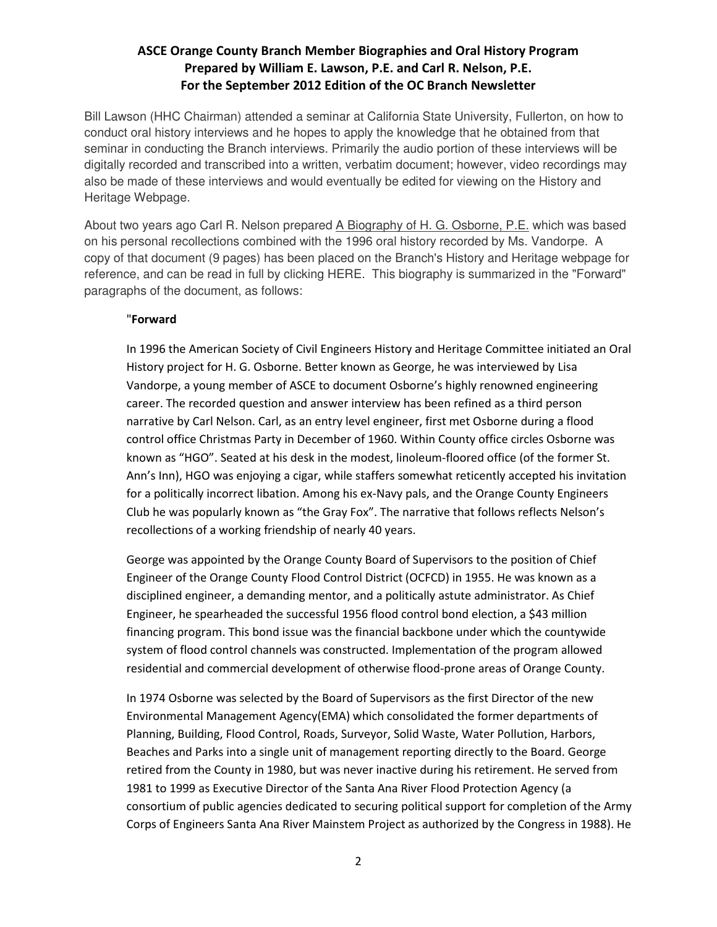Bill Lawson (HHC Chairman) attended a seminar at California State University, Fullerton, on how to conduct oral history interviews and he hopes to apply the knowledge that he obtained from that seminar in conducting the Branch interviews. Primarily the audio portion of these interviews will be digitally recorded and transcribed into a written, verbatim document; however, video recordings may also be made of these interviews and would eventually be edited for viewing on the History and Heritage Webpage.

About two years ago Carl R. Nelson prepared A Biography of H. G. Osborne, P.E. which was based on his personal recollections combined with the 1996 oral history recorded by Ms. Vandorpe. A copy of that document (9 pages) has been placed on the Branch's History and Heritage webpage for reference, and can be read in full by clicking HERE. This biography is summarized in the "Forward" paragraphs of the document, as follows:

## "Forward

In 1996 the American Society of Civil Engineers History and Heritage Committee initiated an Oral History project for H. G. Osborne. Better known as George, he was interviewed by Lisa Vandorpe, a young member of ASCE to document Osborne's highly renowned engineering career. The recorded question and answer interview has been refined as a third person narrative by Carl Nelson. Carl, as an entry level engineer, first met Osborne during a flood control office Christmas Party in December of 1960. Within County office circles Osborne was known as "HGO". Seated at his desk in the modest, linoleum-floored office (of the former St. Ann's Inn), HGO was enjoying a cigar, while staffers somewhat reticently accepted his invitation for a politically incorrect libation. Among his ex-Navy pals, and the Orange County Engineers Club he was popularly known as "the Gray Fox". The narrative that follows reflects Nelson's recollections of a working friendship of nearly 40 years.

George was appointed by the Orange County Board of Supervisors to the position of Chief Engineer of the Orange County Flood Control District (OCFCD) in 1955. He was known as a disciplined engineer, a demanding mentor, and a politically astute administrator. As Chief Engineer, he spearheaded the successful 1956 flood control bond election, a \$43 million financing program. This bond issue was the financial backbone under which the countywide system of flood control channels was constructed. Implementation of the program allowed residential and commercial development of otherwise flood-prone areas of Orange County.

In 1974 Osborne was selected by the Board of Supervisors as the first Director of the new Environmental Management Agency(EMA) which consolidated the former departments of Planning, Building, Flood Control, Roads, Surveyor, Solid Waste, Water Pollution, Harbors, Beaches and Parks into a single unit of management reporting directly to the Board. George retired from the County in 1980, but was never inactive during his retirement. He served from 1981 to 1999 as Executive Director of the Santa Ana River Flood Protection Agency (a consortium of public agencies dedicated to securing political support for completion of the Army Corps of Engineers Santa Ana River Mainstem Project as authorized by the Congress in 1988). He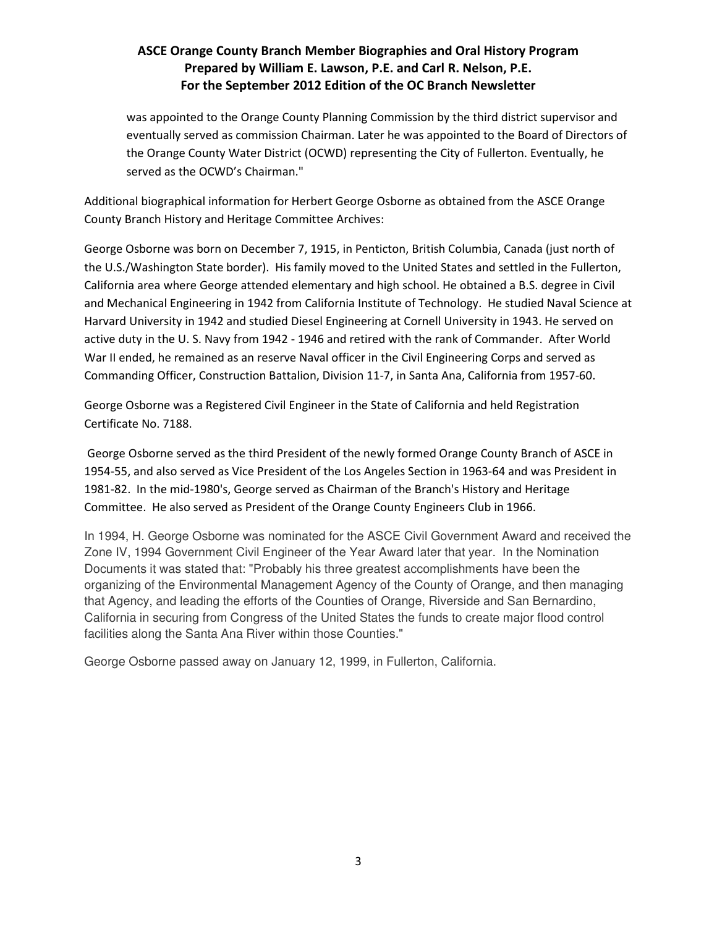was appointed to the Orange County Planning Commission by the third district supervisor and eventually served as commission Chairman. Later he was appointed to the Board of Directors of the Orange County Water District (OCWD) representing the City of Fullerton. Eventually, he served as the OCWD's Chairman."

Additional biographical information for Herbert George Osborne as obtained from the ASCE Orange County Branch History and Heritage Committee Archives:

George Osborne was born on December 7, 1915, in Penticton, British Columbia, Canada (just north of the U.S./Washington State border). His family moved to the United States and settled in the Fullerton, California area where George attended elementary and high school. He obtained a B.S. degree in Civil and Mechanical Engineering in 1942 from California Institute of Technology. He studied Naval Science at Harvard University in 1942 and studied Diesel Engineering at Cornell University in 1943. He served on active duty in the U. S. Navy from 1942 - 1946 and retired with the rank of Commander. After World War II ended, he remained as an reserve Naval officer in the Civil Engineering Corps and served as Commanding Officer, Construction Battalion, Division 11-7, in Santa Ana, California from 1957-60.

George Osborne was a Registered Civil Engineer in the State of California and held Registration Certificate No. 7188.

 George Osborne served as the third President of the newly formed Orange County Branch of ASCE in 1954-55, and also served as Vice President of the Los Angeles Section in 1963-64 and was President in 1981-82. In the mid-1980's, George served as Chairman of the Branch's History and Heritage Committee. He also served as President of the Orange County Engineers Club in 1966.

In 1994, H. George Osborne was nominated for the ASCE Civil Government Award and received the Zone IV, 1994 Government Civil Engineer of the Year Award later that year. In the Nomination Documents it was stated that: "Probably his three greatest accomplishments have been the organizing of the Environmental Management Agency of the County of Orange, and then managing that Agency, and leading the efforts of the Counties of Orange, Riverside and San Bernardino, California in securing from Congress of the United States the funds to create major flood control facilities along the Santa Ana River within those Counties."

George Osborne passed away on January 12, 1999, in Fullerton, California.